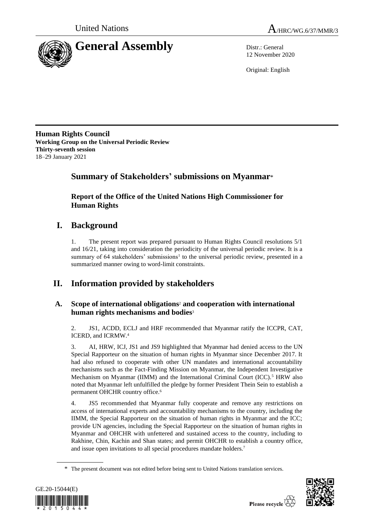



12 November 2020

Original: English

**Human Rights Council Working Group on the Universal Periodic Review Thirty-seventh session** 18–29 January 2021

# **Summary of Stakeholders' submissions on Myanmar**\*

**Report of the Office of the United Nations High Commissioner for Human Rights**

# **I. Background**

1. The present report was prepared pursuant to Human Rights Council resolutions 5/1 and 16/21, taking into consideration the periodicity of the universal periodic review. It is a summary of  $64$  stakeholders' submissions<sup>1</sup> to the universal periodic review, presented in a summarized manner owing to word-limit constraints.

# **II. Information provided by stakeholders**

# **A. Scope of international obligations**<sup>2</sup> **and cooperation with international human rights mechanisms and bodies**<sup>3</sup>

2. JS1, ACDD, ECLJ and HRF recommended that Myanmar ratify the ICCPR, CAT, ICERD, and ICRMW.<sup>4</sup>

3. AI, HRW, ICJ, JS1 and JS9 highlighted that Myanmar had denied access to the UN Special Rapporteur on the situation of human rights in Myanmar since December 2017. It had also refused to cooperate with other UN mandates and international accountability mechanisms such as the Fact-Finding Mission on Myanmar, the Independent Investigative Mechanism on Myanmar (IIMM) and the International Criminal Court  $(ICC)$ .<sup>5</sup> HRW also noted that Myanmar left unfulfilled the pledge by former President Thein Sein to establish a permanent OHCHR country office.<sup>6</sup>

4. JS5 recommended that Myanmar fully cooperate and remove any restrictions on access of international experts and accountability mechanisms to the country, including the IIMM, the Special Rapporteur on the situation of human rights in Myanmar and the ICC; provide UN agencies, including the Special Rapporteur on the situation of human rights in Myanmar and OHCHR with unfettered and sustained access to the country, including to Rakhine, Chin, Kachin and Shan states; and permit OHCHR to establish a country office, and issue open invitations to all special procedures mandate holders.<sup>7</sup>

<sup>\*</sup> The present document was not edited before being sent to United Nations translation services.



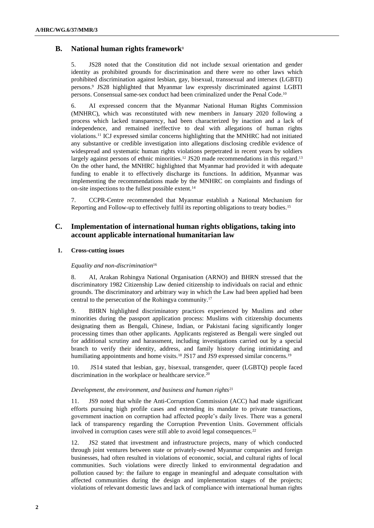# **B. National human rights framework**<sup>8</sup>

5. JS28 noted that the Constitution did not include sexual orientation and gender identity as prohibited grounds for discrimination and there were no other laws which prohibited discrimination against lesbian, gay, bisexual, transsexual and intersex (LGBTI) persons.<sup>9</sup> JS28 highlighted that Myanmar law expressly discriminated against LGBTI persons. Consensual same-sex conduct had been criminalized under the Penal Code.<sup>10</sup>

6. AI expressed concern that the Myanmar National Human Rights Commission (MNHRC), which was reconstituted with new members in January 2020 following a process which lacked transparency, had been characterized by inaction and a lack of independence, and remained ineffective to deal with allegations of human rights violations.<sup>11</sup> ICJ expressed similar concerns highlighting that the MNHRC had not initiated any substantive or credible investigation into allegations disclosing credible evidence of widespread and systematic human rights violations perpetrated in recent years by soldiers largely against persons of ethnic minorities.<sup>12</sup> JS20 made recommendations in this regard.<sup>13</sup> On the other hand, the MNHRC highlighted that Myanmar had provided it with adequate funding to enable it to effectively discharge its functions. In addition, Myanmar was implementing the recommendations made by the MNHRC on complaints and findings of on-site inspections to the fullest possible extent.<sup>14</sup>

7. CCPR-Centre recommended that Myanmar establish a National Mechanism for Reporting and Follow-up to effectively fulfil its reporting obligations to treaty bodies.<sup>15</sup>

# **C. Implementation of international human rights obligations, taking into account applicable international humanitarian law**

# **1. Cross-cutting issues**

## *Equality and non-discrimination*<sup>16</sup>

8. AI, Arakan Rohingya National Organisation (ARNO) and BHRN stressed that the discriminatory 1982 Citizenship Law denied citizenship to individuals on racial and ethnic grounds. The discriminatory and arbitrary way in which the Law had been applied had been central to the persecution of the Rohingya community.<sup>17</sup>

9. BHRN highlighted discriminatory practices experienced by Muslims and other minorities during the passport application process: Muslims with citizenship documents designating them as Bengali, Chinese, Indian, or Pakistani facing significantly longer processing times than other applicants. Applicants registered as Bengali were singled out for additional scrutiny and harassment, including investigations carried out by a special branch to verify their identity, address, and family history during intimidating and humiliating appointments and home visits.<sup>18</sup> JS17 and JS9 expressed similar concerns.<sup>19</sup>

10. JS14 stated that lesbian, gay, bisexual, transgender, queer (LGBTQ) people faced discrimination in the workplace or healthcare service.<sup>20</sup>

## *Development, the environment, and business and human rights*<sup>21</sup>

11. JS9 noted that while the Anti-Corruption Commission (ACC) had made significant efforts pursuing high profile cases and extending its mandate to private transactions, government inaction on corruption had affected people's daily lives. There was a general lack of transparency regarding the Corruption Prevention Units. Government officials involved in corruption cases were still able to avoid legal consequences.<sup>22</sup>

12. JS2 stated that investment and infrastructure projects, many of which conducted through joint ventures between state or privately-owned Myanmar companies and foreign businesses, had often resulted in violations of economic, social, and cultural rights of local communities. Such violations were directly linked to environmental degradation and pollution caused by: the failure to engage in meaningful and adequate consultation with affected communities during the design and implementation stages of the projects; violations of relevant domestic laws and lack of compliance with international human rights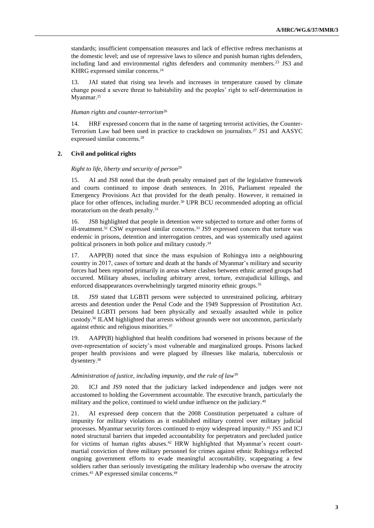standards; insufficient compensation measures and lack of effective redress mechanisms at the domestic level; and use of repressive laws to silence and punish human rights defenders, including land and environmental rights defenders and community members.<sup>23</sup> JS3 and KHRG expressed similar concerns.<sup>24</sup>

13. JAI stated that rising sea levels and increases in temperature caused by climate change posed a severe threat to habitability and the peoples' right to self-determination in Myanmar.<sup>25</sup>

## *Human rights and counter-terrorism*<sup>26</sup>

14. HRF expressed concern that in the name of targeting terrorist activities, the Counter-Terrorism Law had been used in practice to crackdown on journalists.<sup>27</sup> JS1 and AASYC expressed similar concerns.<sup>28</sup>

# **2. Civil and political rights**

#### *Right to life, liberty and security of person*<sup>29</sup>

15. AI and JS8 noted that the death penalty remained part of the legislative framework and courts continued to impose death sentences. In 2016, Parliament repealed the Emergency Provisions Act that provided for the death penalty. However, it remained in place for other offences, including murder.<sup>30</sup> UPR BCU recommended adopting an official moratorium on the death penalty.<sup>31</sup>

16. JS8 highlighted that people in detention were subjected to torture and other forms of ill-treatment. <sup>32</sup> CSW expressed similar concerns.<sup>33</sup> JS9 expressed concern that torture was endemic in prisons, detention and interrogation centres, and was systemically used against political prisoners in both police and military custody.<sup>34</sup>

17. AAPP(B) noted that since the mass expulsion of Rohingya into a neighbouring country in 2017, cases of torture and death at the hands of Myanmar's military and security forces had been reported primarily in areas where clashes between ethnic armed groups had occurred. Military abuses, including arbitrary arrest, torture, extrajudicial killings, and enforced disappearances overwhelmingly targeted minority ethnic groups.<sup>35</sup>

18. JS9 stated that LGBTI persons were subjected to unrestrained policing, arbitrary arrests and detention under the Penal Code and the 1949 Suppression of Prostitution Act. Detained LGBTI persons had been physically and sexually assaulted while in police custody.<sup>36</sup> ILAM highlighted that arrests without grounds were not uncommon, particularly against ethnic and religious minorities.<sup>37</sup>

19. AAPP(B) highlighted that health conditions had worsened in prisons because of the over-representation of society's most vulnerable and marginalized groups. Prisons lacked proper health provisions and were plagued by illnesses like malaria, tuberculosis or dysentery.<sup>38</sup>

## *Administration of justice, including impunity, and the rule of law*<sup>39</sup>

20. ICJ and JS9 noted that the judiciary lacked independence and judges were not accustomed to holding the Government accountable. The executive branch, particularly the military and the police, continued to wield undue influence on the judiciary.<sup>40</sup>

21. AI expressed deep concern that the 2008 Constitution perpetuated a culture of impunity for military violations as it established military control over military judicial processes. Myanmar security forces continued to enjoy widespread impunity. <sup>41</sup> JS5 and ICJ noted structural barriers that impeded accountability for perpetrators and precluded justice for victims of human rights abuses.<sup>42</sup> HRW highlighted that Myanmar's recent courtmartial conviction of three military personnel for crimes against ethnic Rohingya reflected ongoing government efforts to evade meaningful accountability, scapegoating a few soldiers rather than seriously investigating the military leadership who oversaw the atrocity crimes.<sup>43</sup> AP expressed similar concerns.<sup>44</sup>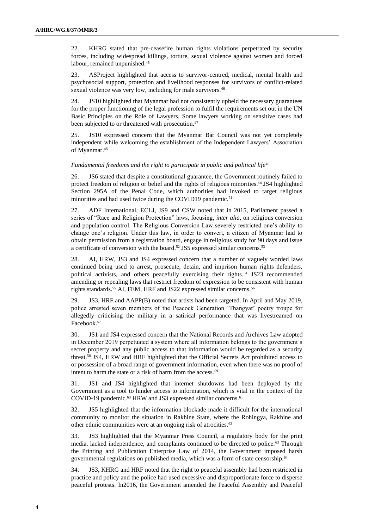22. KHRG stated that pre-ceasefire human rights violations perpetrated by security forces, including widespread killings, torture, sexual violence against women and forced labour, remained unpunished.<sup>45</sup>

23. ASProject highlighted that access to survivor-centred, medical, mental health and psychosocial support, protection and livelihood responses for survivors of conflict-related sexual violence was very low, including for male survivors.<sup>46</sup>

24. JS10 highlighted that Myanmar had not consistently upheld the necessary guarantees for the proper functioning of the legal profession to fulfil the requirements set out in the UN Basic Principles on the Role of Lawyers. Some lawyers working on sensitive cases had been subjected to or threatened with prosecution.<sup>47</sup>

25. JS10 expressed concern that the Myanmar Bar Council was not yet completely independent while welcoming the establishment of the Independent Lawyers' Association of Myanmar. 48

#### *Fundamental freedoms and the right to participate in public and political life*<sup>49</sup>

26. JS6 stated that despite a constitutional guarantee, the Government routinely failed to protect freedom of religion or belief and the rights of religious minorities.<sup>50</sup> JS4 highlighted Section 295A of the Penal Code, which authorities had invoked to target religious minorities and had used twice during the COVID19 pandemic.<sup>51</sup>

27. ADF International, ECLJ, JS9 and CSW noted that in 2015, Parliament passed a series of "Race and Religion Protection" laws, focusing, *inter alia*, on religious conversion and population control. The Religious Conversion Law severely restricted one's ability to change one's religion. Under this law, in order to convert, a citizen of Myanmar had to obtain permission from a registration board, engage in religious study for 90 days and issue a certificate of conversion with the board.<sup>52</sup> JS5 expressed similar concerns.<sup>53</sup>

28. AI, HRW, JS3 and JS4 expressed concern that a number of vaguely worded laws continued being used to arrest, prosecute, detain, and imprison human rights defenders, political activists, and others peacefully exercising their rights.<sup>54</sup> JS23 recommended amending or repealing laws that restrict freedom of expression to be consistent with human rights standards.<sup>55</sup> AI, FEM, HRF and JS22 expressed similar concerns.<sup>56</sup>

29. JS3, HRF and AAPP(B) noted that artists had been targeted. In April and May 2019, police arrested seven members of the Peacock Generation 'Thangyat' poetry troupe for allegedly criticising the military in a satirical performance that was livestreamed on Facebook.<sup>57</sup>

30. JS1 and JS4 expressed concern that the National Records and Archives Law adopted in December 2019 perpetuated a system where all information belongs to the government's secret property and any public access to that information would be regarded as a security threat.<sup>58</sup> JS4, HRW and HRF highlighted that the Official Secrets Act prohibited access to or possession of a broad range of government information, even when there was no proof of intent to harm the state or a risk of harm from the access.<sup>59</sup>

31. JS1 and JS4 highlighted that internet shutdowns had been deployed by the Government as a tool to hinder access to information, which is vital in the context of the COVID-19 pandemic.<sup>60</sup> HRW and JS3 expressed similar concerns.<sup>61</sup>

32. JS5 highlighted that the information blockade made it difficult for the international community to monitor the situation in Rakhine State, where the Rohingya, Rakhine and other ethnic communities were at an ongoing risk of atrocities.<sup>62</sup>

33. JS3 highlighted that the Myanmar Press Council, a regulatory body for the print media, lacked independence, and complaints continued to be directed to police.<sup>63</sup> Through the Printing and Publication Enterprise Law of 2014, the Government imposed harsh governmental regulations on published media, which was a form of state censorship.<sup>64</sup>

34. JS3, KHRG and HRF noted that the right to peaceful assembly had been restricted in practice and policy and the police had used excessive and disproportionate force to disperse peaceful protests. In2016, the Government amended the Peaceful Assembly and Peaceful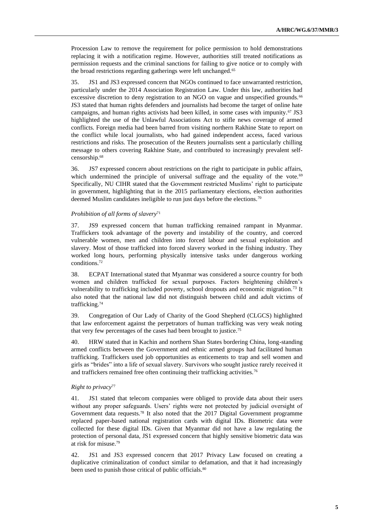Procession Law to remove the requirement for police permission to hold demonstrations replacing it with a notification regime. However, authorities still treated notifications as permission requests and the criminal sanctions for failing to give notice or to comply with the broad restrictions regarding gatherings were left unchanged.<sup>65</sup>

35. JS1 and JS3 expressed concern that NGOs continued to face unwarranted restriction, particularly under the 2014 Association Registration Law. Under this law, authorities had excessive discretion to deny registration to an NGO on vague and unspecified grounds.<sup>66</sup> JS3 stated that human rights defenders and journalists had become the target of online hate campaigns, and human rights activists had been killed, in some cases with impunity.<sup>67</sup> JS3 highlighted the use of the Unlawful Associations Act to stifle news coverage of armed conflicts. Foreign media had been barred from visiting northern Rakhine State to report on the conflict while local journalists, who had gained independent access, faced various restrictions and risks. The prosecution of the Reuters journalists sent a particularly chilling message to others covering Rakhine State, and contributed to increasingly prevalent selfcensorship.<sup>68</sup>

36. JS7 expressed concern about restrictions on the right to participate in public affairs, which undermined the principle of universal suffrage and the equality of the vote.<sup>69</sup> Specifically, NU CIHR stated that the Government restricted Muslims' right to participate in government, highlighting that in the 2015 parliamentary elections, election authorities deemed Muslim candidates ineligible to run just days before the elections.<sup>70</sup>

#### *Prohibition of all forms of slavery*<sup>71</sup>

37. JS9 expressed concern that human trafficking remained rampant in Myanmar. Traffickers took advantage of the poverty and instability of the country, and coerced vulnerable women, men and children into forced labour and sexual exploitation and slavery. Most of those trafficked into forced slavery worked in the fishing industry. They worked long hours, performing physically intensive tasks under dangerous working conditions.<sup>72</sup>

38. ECPAT International stated that Myanmar was considered a source country for both women and children trafficked for sexual purposes. Factors heightening children's vulnerability to trafficking included poverty, school dropouts and economic migration.<sup>73</sup> It also noted that the national law did not distinguish between child and adult victims of trafficking.<sup>74</sup>

39. Congregation of Our Lady of Charity of the Good Shepherd (CLGCS) highlighted that law enforcement against the perpetrators of human trafficking was very weak noting that very few percentages of the cases had been brought to justice.<sup>75</sup>

40. HRW stated that in Kachin and northern Shan States bordering China, long-standing armed conflicts between the Government and ethnic armed groups had facilitated human trafficking. Traffickers used job opportunities as enticements to trap and sell women and girls as "brides" into a life of sexual slavery. Survivors who sought justice rarely received it and traffickers remained free often continuing their trafficking activities.<sup>76</sup>

# *Right to privacy*<sup>77</sup>

41. JS1 stated that telecom companies were obliged to provide data about their users without any proper safeguards. Users' rights were not protected by judicial oversight of Government data requests.<sup>78</sup> It also noted that the 2017 Digital Government programme replaced paper-based national registration cards with digital IDs. Biometric data were collected for these digital IDs. Given that Myanmar did not have a law regulating the protection of personal data, JS1 expressed concern that highly sensitive biometric data was at risk for misuse.<sup>79</sup>

42. JS1 and JS3 expressed concern that 2017 Privacy Law focused on creating a duplicative criminalization of conduct similar to defamation, and that it had increasingly been used to punish those critical of public officials.<sup>80</sup>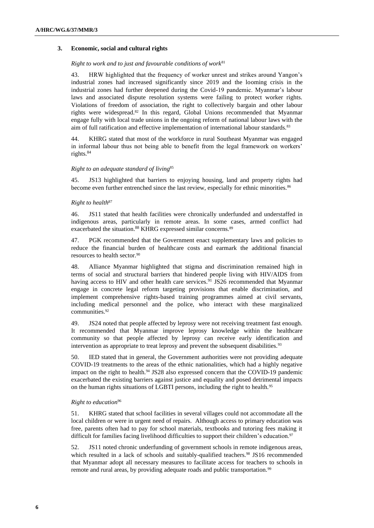# **3. Economic, social and cultural rights**

#### *Right to work and to just and favourable conditions of work*<sup>81</sup>

43. HRW highlighted that the frequency of worker unrest and strikes around Yangon's industrial zones had increased significantly since 2019 and the looming crisis in the industrial zones had further deepened during the Covid-19 pandemic. Myanmar's labour laws and associated dispute resolution systems were failing to protect worker rights. Violations of freedom of association, the right to collectively bargain and other labour rights were widespread.<sup>82</sup> In this regard, Global Unions recommended that Myanmar engage fully with local trade unions in the ongoing reform of national labour laws with the aim of full ratification and effective implementation of international labour standards.<sup>83</sup>

44. KHRG stated that most of the workforce in rural Southeast Myanmar was engaged in informal labour thus not being able to benefit from the legal framework on workers' rights.<sup>84</sup>

## *Right to an adequate standard of living*<sup>85</sup>

45. JS13 highlighted that barriers to enjoying housing, land and property rights had become even further entrenched since the last review, especially for ethnic minorities.<sup>86</sup>

## *Right to health*<sup>87</sup>

46. JS11 stated that health facilities were chronically underfunded and understaffed in indigenous areas, particularly in remote areas. In some cases, armed conflict had exacerbated the situation.<sup>88</sup> KHRG expressed similar concerns.<sup>89</sup>

47. PGK recommended that the Government enact supplementary laws and policies to reduce the financial burden of healthcare costs and earmark the additional financial resources to health sector.<sup>90</sup>

48. Alliance Myanmar highlighted that stigma and discrimination remained high in terms of social and structural barriers that hindered people living with HIV/AIDS from having access to HIV and other health care services.<sup>91</sup> JS26 recommended that Myanmar engage in concrete legal reform targeting provisions that enable discrimination, and implement comprehensive rights-based training programmes aimed at civil servants, including medical personnel and the police, who interact with these marginalized communities.<sup>92</sup>

49. JS24 noted that people affected by leprosy were not receiving treatment fast enough. It recommended that Myanmar improve leprosy knowledge within the healthcare community so that people affected by leprosy can receive early identification and intervention as appropriate to treat leprosy and prevent the subsequent disabilities.<sup>93</sup>

50. IED stated that in general, the Government authorities were not providing adequate COVID-19 treatments to the areas of the ethnic nationalities, which had a highly negative impact on the right to health.<sup>94</sup> JS28 also expressed concern that the COVID-19 pandemic exacerbated the existing barriers against justice and equality and posed detrimental impacts on the human rights situations of LGBTI persons, including the right to health.<sup>95</sup>

#### *Right to education*<sup>96</sup>

51. KHRG stated that school facilities in several villages could not accommodate all the local children or were in urgent need of repairs. Although access to primary education was free, parents often had to pay for school materials, textbooks and tutoring fees making it difficult for families facing livelihood difficulties to support their children's education.<sup>97</sup>

52. JS11 noted chronic underfunding of government schools in remote indigenous areas, which resulted in a lack of schools and suitably-qualified teachers.<sup>98</sup> JS16 recommended that Myanmar adopt all necessary measures to facilitate access for teachers to schools in remote and rural areas, by providing adequate roads and public transportation.<sup>99</sup>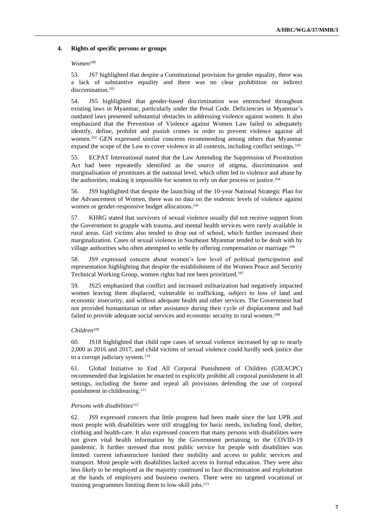### **4. Rights of specific persons or groups**

#### *Women*<sup>100</sup>

53. JS7 highlighted that despite a Constitutional provision for gender equality, there was a lack of substantive equality and there was no clear prohibition on indirect discrimination.<sup>101</sup>

54. JS5 highlighted that gender-based discrimination was entrenched throughout existing laws in Myanmar, particularly under the Penal Code. Deficiencies in Myanmar's outdated laws presented substantial obstacles to addressing violence against women. It also emphasized that the Prevention of Violence against Women Law failed to adequately identify, define, prohibit and punish crimes in order to prevent violence against all women.<sup>102</sup> GEN expressed similar concerns recommending among others that Myanmar expand the scope of the Law to cover violence in all contexts, including conflict settings.<sup>103</sup>

55. ECPAT International stated that the Law Amending the Suppression of Prostitution Act had been repeatedly identified as the source of stigma, discrimination and marginalisation of prostitutes at the national level, which often led to violence and abuse by the authorities, making it impossible for women to rely on due process or justice.<sup>104</sup>

56. JS9 highlighted that despite the launching of the 10-year National Strategic Plan for the Advancement of Women, there was no data on the endemic levels of violence against women or gender-responsive budget allocations.<sup>105</sup>

57. KHRG stated that survivors of sexual violence usually did not receive support from the Government to grapple with trauma, and mental health services were rarely available in rural areas. Girl victims also tended to drop out of school, which further increased their marginalization. Cases of sexual violence in Southeast Myanmar tended to be dealt with by village authorities who often attempted to settle by offering compensation or marriage.<sup>106</sup>

58. JS9 expressed concern about women's low level of political participation and representation highlighting that despite the establishment of the Women Peace and Security Technical Working Group, women rights had not been prioritized.<sup>107</sup>

59. JS25 emphasized that conflict and increased militarization had negatively impacted women leaving them displaced, vulnerable to trafficking, subject to loss of land and economic insecurity, and without adequate health and other services. The Government had not provided humanitarian or other assistance during their cycle of displacement and had failed to provide adequate social services and economic security to rural women.<sup>108</sup>

#### *Children*<sup>109</sup>

60. JS18 highlighted that child rape cases of sexual violence increased by up to nearly 2,000 in 2016 and 2017, and child victims of sexual violence could hardly seek justice due to a corrupt judiciary system.<sup>110</sup>

61. Global Initiative to End All Corporal Punishment of Children (GIEACPC) recommended that legislation be enacted to explicitly prohibit all corporal punishment in all settings, including the home and repeal all provisions defending the use of corporal punishment in childrearing.<sup>111</sup>

#### *Persons with disabilities*<sup>112</sup>

62. JS9 expressed concern that little progress had been made since the last UPR and most people with disabilities were still struggling for basic needs, including food, shelter, clothing and health-care. It also expressed concern that many persons with disabilities were not given vital health information by the Government pertaining to the COVID-19 pandemic. It further stressed that most public service for people with disabilities was limited: current infrastructure limited their mobility and access to public services and transport. Most people with disabilities lacked access to formal education. They were also less likely to be employed as the majority continued to face discrimination and exploitation at the hands of employers and business owners. There were no targeted vocational or training programmes limiting them to low-skill jobs.113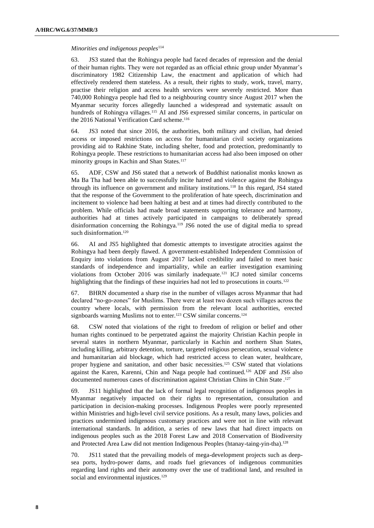#### *Minorities and indigenous peoples*<sup>114</sup>

63. JS3 stated that the Rohingya people had faced decades of repression and the denial of their human rights. They were not regarded as an official ethnic group under Myanmar's discriminatory 1982 Citizenship Law, the enactment and application of which had effectively rendered them stateless. As a result, their rights to study, work, travel, marry, practise their religion and access health services were severely restricted. More than 740,000 Rohingya people had fled to a neighbouring country since August 2017 when the Myanmar security forces allegedly launched a widespread and systematic assault on hundreds of Rohingya villages.<sup>115</sup> AI and JS6 expressed similar concerns, in particular on the 2016 National Verification Card scheme.<sup>116</sup>

64. JS3 noted that since 2016, the authorities, both military and civilian, had denied access or imposed restrictions on access for humanitarian civil society organizations providing aid to Rakhine State, including shelter, food and protection, predominantly to Rohingya people. These restrictions to humanitarian access had also been imposed on other minority groups in Kachin and Shan States.<sup>117</sup>

65. ADF, CSW and JS6 stated that a network of Buddhist nationalist monks known as Ma Ba Tha had been able to successfully incite hatred and violence against the Rohingya through its influence on government and military institutions.<sup>118</sup> In this regard, JS4 stated that the response of the Government to the proliferation of hate speech, discrimination and incitement to violence had been halting at best and at times had directly contributed to the problem. While officials had made broad statements supporting tolerance and harmony, authorities had at times actively participated in campaigns to deliberately spread disinformation concerning the Rohingya.<sup>119</sup> JS6 noted the use of digital media to spread such disinformation.<sup>120</sup>

66. AI and JS5 highlighted that domestic attempts to investigate atrocities against the Rohingya had been deeply flawed. A government-established Independent Commission of Enquiry into violations from August 2017 lacked credibility and failed to meet basic standards of independence and impartiality, while an earlier investigation examining violations from October 2016 was similarly inadequate.<sup>121</sup> ICJ noted similar concerns highlighting that the findings of these inquiries had not led to prosecutions in courts.<sup>122</sup>

67. BHRN documented a sharp rise in the number of villages across Myanmar that had declared "no-go-zones" for Muslims. There were at least two dozen such villages across the country where locals, with permission from the relevant local authorities, erected signboards warning Muslims not to enter.<sup>123</sup> CSW similar concerns.<sup>124</sup>

68. CSW noted that violations of the right to freedom of religion or belief and other human rights continued to be perpetrated against the majority Christian Kachin people in several states in northern Myanmar, particularly in Kachin and northern Shan States, including killing, arbitrary detention, torture, targeted religious persecution, sexual violence and humanitarian aid blockage, which had restricted access to clean water, healthcare, proper hygiene and sanitation, and other basic necessities.<sup>125</sup> CSW stated that violations against the Karen, Karenni, Chin and Naga people had continued.<sup>126</sup> ADF and JS6 also documented numerous cases of discrimination against Christian Chins in Chin State . 127

69. JS11 highlighted that the lack of formal legal recognition of indigenous peoples in Myanmar negatively impacted on their rights to representation, consultation and participation in decision-making processes. Indigenous Peoples were poorly represented within Ministries and high-level civil service positions. As a result, many laws, policies and practices undermined indigenous customary practices and were not in line with relevant international standards. In addition, a series of new laws that had direct impacts on indigenous peoples such as the 2018 Forest Law and 2018 Conservation of Biodiversity and Protected Area Law did not mention Indigenous Peoples (htanay-taing-yin-tha).<sup>128</sup>

70. JS11 stated that the prevailing models of mega-development projects such as deepsea ports, hydro-power dams, and roads fuel grievances of indigenous communities regarding land rights and their autonomy over the use of traditional land, and resulted in social and environmental injustices.<sup>129</sup>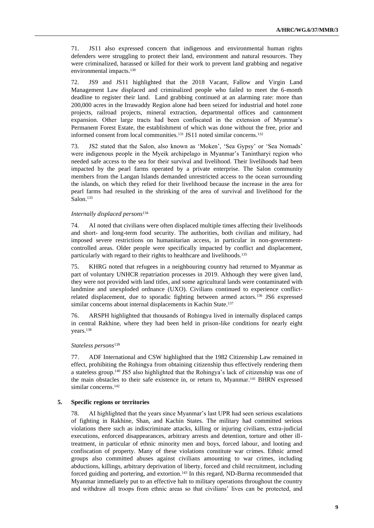71. JS11 also expressed concern that indigenous and environmental human rights defenders were struggling to protect their land, environment and natural resources. They were criminalized, harassed or killed for their work to prevent land grabbing and negative environmental impacts.<sup>130</sup>

72. JS9 and JS11 highlighted that the 2018 Vacant, Fallow and Virgin Land Management Law displaced and criminalized people who failed to meet the 6-month deadline to register their land. Land grabbing continued at an alarming rate: more than 200,000 acres in the Irrawaddy Region alone had been seized for industrial and hotel zone projects, railroad projects, mineral extraction, departmental offices and cantonment expansion. Other large tracts had been confiscated in the extension of Myanmar's Permanent Forest Estate, the establishment of which was done without the free, prior and informed consent from local communities.<sup>131</sup> JS11 noted similar concerns.<sup>132</sup>

73. JS2 stated that the Salon, also known as 'Moken', 'Sea Gypsy' or 'Sea Nomads' were indigenous people in the Myeik archipelago in Myanmar's Tanintharyi region who needed safe access to the sea for their survival and livelihood. Their livelihoods had been impacted by the pearl farms operated by a private enterprise. The Salon community members from the Langan Islands demanded unrestricted access to the ocean surrounding the islands, on which they relied for their livelihood because the increase in the area for pearl farms had resulted in the shrinking of the area of survival and livelihood for the Salon.<sup>133</sup>

## *Internally displaced persons*<sup>134</sup>

74. AI noted that civilians were often displaced multiple times affecting their livelihoods and short- and long-term food security. The authorities, both civilian and military, had imposed severe restrictions on humanitarian access, in particular in non-governmentcontrolled areas. Older people were specifically impacted by conflict and displacement, particularly with regard to their rights to healthcare and livelihoods.<sup>135</sup>

75. KHRG noted that refugees in a neighbouring country had returned to Myanmar as part of voluntary UNHCR repatriation processes in 2019. Although they were given land, they were not provided with land titles, and some agricultural lands were contaminated with landmine and unexploded ordnance (UXO). Civilians continued to experience conflictrelated displacement, due to sporadic fighting between armed actors.<sup>136</sup> JS6 expressed similar concerns about internal displacements in Kachin State.<sup>137</sup>

76. ARSPH highlighted that thousands of Rohingya lived in internally displaced camps in central Rakhine, where they had been held in prison-like conditions for nearly eight years.<sup>138</sup>

#### *Stateless persons*<sup>139</sup>

77. ADF International and CSW highlighted that the 1982 Citizenship Law remained in effect, prohibiting the Rohingya from obtaining citizenship thus effectively rendering them a stateless group.<sup>140</sup> JS5 also highlighted that the Rohingya's lack of citizenship was one of the main obstacles to their safe existence in, or return to, Myanmar.<sup>141</sup> BHRN expressed similar concerns.<sup>142</sup>

# **5. Specific regions or territories**

78. AI highlighted that the years since Myanmar's last UPR had seen serious escalations of fighting in Rakhine, Shan, and Kachin States. The military had committed serious violations there such as indiscriminate attacks, killing or injuring civilians, extra-judicial executions, enforced disappearances, arbitrary arrests and detention, torture and other illtreatment, in particular of ethnic minority men and boys, forced labour, and looting and confiscation of property. Many of these violations constitute war crimes. Ethnic armed groups also committed abuses against civilians amounting to war crimes, including abductions, killings, arbitrary deprivation of liberty, forced and child recruitment, including forced guiding and portering, and extortion.<sup>143</sup> In this regard, ND-Burma recommended that Myanmar immediately put to an effective halt to military operations throughout the country and withdraw all troops from ethnic areas so that civilians' lives can be protected, and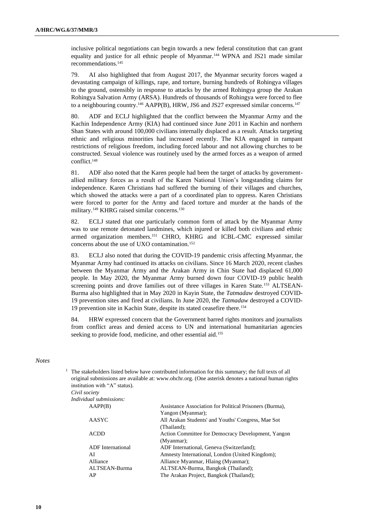inclusive political negotiations can begin towards a new federal constitution that can grant equality and justice for all ethnic people of Myanmar.<sup>144</sup> WPNA and JS21 made similar recommendations.<sup>145</sup>

79. AI also highlighted that from August 2017, the Myanmar security forces waged a devastating campaign of killings, rape, and torture, burning hundreds of Rohingya villages to the ground, ostensibly in response to attacks by the armed Rohingya group the Arakan Rohingya Salvation Army (ARSA). Hundreds of thousands of Rohingya were forced to flee to a neighbouring country.<sup>146</sup> AAPP(B), HRW, JS6 and JS27 expressed similar concerns.<sup>147</sup>

80. ADF and ECLJ highlighted that the conflict between the Myanmar Army and the Kachin Independence Army (KIA) had continued since June 2011 in Kachin and northern Shan States with around 100,000 civilians internally displaced as a result. Attacks targeting ethnic and religious minorities had increased recently. The KIA engaged in rampant restrictions of religious freedom, including forced labour and not allowing churches to be constructed. Sexual violence was routinely used by the armed forces as a weapon of armed conflict.<sup>148</sup>

81. ADF also noted that the Karen people had been the target of attacks by governmentallied military forces as a result of the Karen National Union's longstanding claims for independence. Karen Christians had suffered the burning of their villages and churches, which showed the attacks were a part of a coordinated plan to oppress. Karen Christians were forced to porter for the Army and faced torture and murder at the hands of the military.<sup>149</sup> KHRG raised similar concerns.<sup>150</sup>

82. ECLJ stated that one particularly common form of attack by the Myanmar Army was to use remote detonated landmines, which injured or killed both civilians and ethnic armed organization members.<sup>151</sup> CHRO, KHRG and ICBL-CMC expressed similar concerns about the use of UXO contamination.<sup>152</sup>

83. ECLJ also noted that during the COVID-19 pandemic crisis affecting Myanmar, the Myanmar Army had continued its attacks on civilians. Since 16 March 2020, recent clashes between the Myanmar Army and the Arakan Army in Chin State had displaced 61,000 people. In May 2020, the Myanmar Army burned down four COVID-19 public health screening points and drove families out of three villages in Karen State.<sup>153</sup> ALTSEAN-Burma also highlighted that in May 2020 in Kayin State, the *Tatmadaw* destroyed COVID-19 prevention sites and fired at civilians. In June 2020, the *Tatmadaw* destroyed a COVID-19 prevention site in Kachin State, despite its stated ceasefire there.<sup>154</sup>

84. HRW expressed concern that the Government barred rights monitors and journalists from conflict areas and denied access to UN and international humanitarian agencies seeking to provide food, medicine, and other essential aid.<sup>155</sup>

## *Notes*

<sup>1</sup> The stakeholders listed below have contributed information for this summary; the full texts of all original submissions are available at: [www.ohchr.org.](http://www.ohchr.org/) (One asterisk denotes a national human rights institution with "A" status). *Civil society*

| $C$ <i>vu society</i> |                         |
|-----------------------|-------------------------|
|                       | Individual submissions: |

| AAPP(B)                  | Assistance Association for Political Prisoners (Burma), |
|--------------------------|---------------------------------------------------------|
|                          | Yangon (Myanmar);                                       |
| AASYC                    | All Arakan Students' and Youths' Congress, Mae Sot      |
|                          | (Thailand);                                             |
| <b>ACDD</b>              | Action Committee for Democracy Development, Yangon      |
|                          | (Myanmar);                                              |
| <b>ADF</b> International | ADF International, Geneva (Switzerland);                |
| AI                       | Amnesty International, London (United Kingdom);         |
| Alliance                 | Alliance Myanmar, Hlaing (Myanmar);                     |
| ALTSEAN-Burma            | ALTSEAN-Burma, Bangkok (Thailand);                      |
| AP                       | The Arakan Project, Bangkok (Thailand);                 |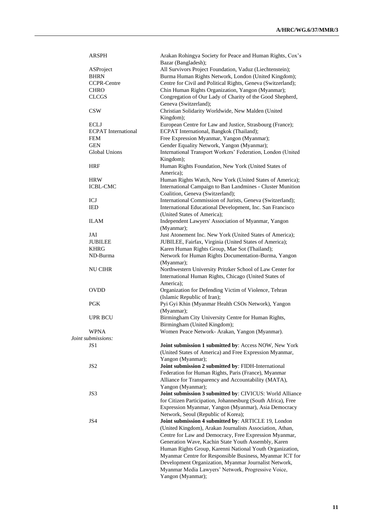| ARSPH                      | Arakan Rohingya Society for Peace and Human Rights, Cox's    |
|----------------------------|--------------------------------------------------------------|
|                            | Bazar (Bangladesh);                                          |
| ASProject                  | All Survivors Project Foundation, Vaduz (Liechtenstein);     |
| <b>BHRN</b>                | Burma Human Rights Network, London (United Kingdom);         |
| <b>CCPR-Centre</b>         | Centre for Civil and Political Rights, Geneva (Switzerland); |
| <b>CHRO</b>                | Chin Human Rights Organization, Yangon (Myanmar);            |
| <b>CLCGS</b>               | Congregation of Our Lady of Charity of the Good Shepherd,    |
|                            | Geneva (Switzerland);                                        |
| <b>CSW</b>                 | Christian Solidarity Worldwide, New Malden (United           |
|                            | Kingdom);                                                    |
| <b>ECLJ</b>                | European Centre for Law and Justice, Strasbourg (France);    |
| <b>ECPAT</b> International | ECPAT International, Bangkok (Thailand);                     |
| <b>FEM</b>                 | Free Expression Myanmar, Yangon (Myanmar);                   |
| <b>GEN</b>                 | Gender Equality Network, Yangon (Myanmar);                   |
| Global Unions              | International Transport Workers' Federation, London (United  |
|                            | Kingdom);                                                    |
| <b>HRF</b>                 | Human Rights Foundation, New York (United States of          |
|                            | America);                                                    |
| <b>HRW</b>                 | Human Rights Watch, New York (United States of America);     |
| <b>ICBL-CMC</b>            | International Campaign to Ban Landmines - Cluster Munition   |
|                            | Coalition, Geneva (Switzerland);                             |
| ICJ                        | International Commission of Jurists, Geneva (Switzerland);   |
| <b>IED</b>                 | International Educational Development, Inc. San Francisco    |
|                            | (United States of America);                                  |
| <b>ILAM</b>                |                                                              |
|                            | Independent Lawyers' Association of Myanmar, Yangon          |
|                            | (Myanmar);                                                   |
| JAI                        | Just Atonement Inc. New York (United States of America);     |
| <b>JUBILEE</b>             | JUBILEE, Fairfax, Virginia (United States of America);       |
| <b>KHRG</b>                | Karen Human Rights Group, Mae Sot (Thailand);                |
| ND-Burma                   | Network for Human Rights Documentation-Burma, Yangon         |
|                            | (Myanmar);                                                   |
| NU CIHR                    | Northwestern University Pritzker School of Law Center for    |
|                            | International Human Rights, Chicago (United States of        |
|                            | America);                                                    |
| <b>OVDD</b>                | Organization for Defending Victim of Violence, Tehran        |
|                            | (Islamic Republic of Iran);                                  |
| <b>PGK</b>                 | Pyi Gyi Khin (Myanmar Health CSOs Network), Yangon           |
|                            | (Myanmar);                                                   |
| <b>UPR BCU</b>             | Birmingham City University Centre for Human Rights,          |
|                            | Birmingham (United Kingdom);                                 |
| <b>WPNA</b>                | Women Peace Network- Arakan, Yangon (Myanmar).               |
| Joint submissions:         |                                                              |
| JS <sub>1</sub>            | Joint submission 1 submitted by: Access NOW, New York        |
|                            | (United States of America) and Free Expression Myanmar,      |
|                            | Yangon (Myanmar);                                            |
| JS <sub>2</sub>            | Joint submission 2 submitted by: FIDH-International          |
|                            | Federation for Human Rights, Paris (France), Myanmar         |
|                            | Alliance for Transparency and Accountability (MATA),         |
|                            | Yangon (Myanmar);                                            |
| JS3                        | Joint submission 3 submitted by: CIVICUS: World Alliance     |
|                            | for Citizen Participation, Johannesburg (South Africa), Free |
|                            | Expression Myanmar, Yangon (Myanmar), Asia Democracy         |
|                            | Network, Seoul (Republic of Korea);                          |
| JS4                        |                                                              |
|                            | Joint submission 4 submitted by: ARTICLE 19, London          |
|                            | (United Kingdom), Arakan Journalists Association, Athan,     |
|                            | Centre for Law and Democracy, Free Expression Myanmar,       |
|                            | Generation Wave, Kachin State Youth Assembly, Karen          |
|                            | Human Rights Group, Karenni National Youth Organization,     |
|                            | Myanmar Centre for Responsible Business, Myanmar ICT for     |
|                            | Development Organization, Myanmar Journalist Network,        |
|                            | Myanmar Media Lawyers' Network, Progressive Voice,           |
|                            | Yangon (Myanmar);                                            |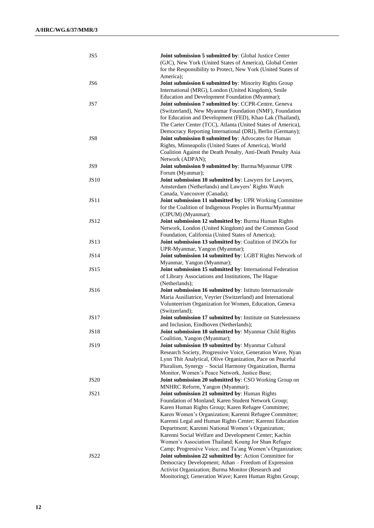| JS5             | Joint submission 5 submitted by: Global Justice Center        |
|-----------------|---------------------------------------------------------------|
|                 | (GJC), New York (United States of America), Global Center     |
|                 | for the Responsibility to Protect, New York (United States of |
|                 | America):                                                     |
| JS <sub>6</sub> | Joint submission 6 submitted by: Minority Rights Group        |
|                 | International (MRG), London (United Kingdom), Smile           |
|                 | Education and Development Foundation (Myanmar);               |
| JS7             | Joint submission 7 submitted by: CCPR-Centre, Geneva          |
|                 | (Switzerland), New Myanmar Foundation (NMF), Foundation       |
|                 | for Education and Development (FED), Khao Lak (Thailand),     |
|                 | The Carter Center (TCC), Atlanta (United States of America),  |
|                 | Democracy Reporting International (DRI), Berlin (Germany);    |
| JS8             | Joint submission 8 submitted by: Advocates for Human          |
|                 | Rights, Minneapolis (United States of America), World         |
|                 | Coalition Against the Death Penalty, Anti-Death Penalty Asia  |
|                 | Network (ADPAN);                                              |
| JS9             | Joint submission 9 submitted by: Burma/Myanmar UPR            |
|                 | Forum (Myanmar);                                              |
| <b>JS10</b>     | Joint submission 10 submitted by: Lawyers for Lawyers,        |
|                 | Amsterdam (Netherlands) and Lawyers' Rights Watch             |
|                 | Canada, Vancouver (Canada);                                   |
| JS11            | Joint submission 11 submitted by: UPR Working Committee       |
|                 | for the Coalition of Indigenous Peoples in Burma/Myanmar      |
|                 | (CIPUM) (Myanmar);                                            |
| JS12            | Joint submission 12 submitted by: Burma Human Rights          |
|                 | Network, London (United Kingdom) and the Common Good          |
|                 | Foundation, California (United States of America);            |
| <b>JS13</b>     | Joint submission 13 submitted by: Coalition of INGOs for      |
|                 | UPR-Myanmar, Yangon (Myanmar);                                |
| <b>JS14</b>     | Joint submission 14 submitted by: LGBT Rights Network of      |
|                 | Myanmar, Yangon (Myanmar);                                    |
| <b>JS15</b>     | Joint submission 15 submitted by: International Federation    |
|                 | of Library Associations and Institutions, The Hague           |
|                 | (Netherlands);                                                |
| JS16            | Joint submission 16 submitted by: Istituto Internazionale     |
|                 | Maria Ausiliatrice, Veyrier (Switzerland) and International   |
|                 | Volunteerism Organization for Women, Education, Geneva        |
|                 | (Switzerland);                                                |
| <b>JS17</b>     | Joint submission 17 submitted by: Institute on Statelessness  |
|                 | and Inclusion, Eindhoven (Netherlands);                       |
| <b>JS18</b>     | Joint submission 18 submitted by: Myanmar Child Rights        |
|                 | Coalition, Yangon (Myanmar);                                  |
| <b>JS19</b>     | Joint submission 19 submitted by: Myanmar Cultural            |
|                 | Research Society, Progressive Voice, Generation Wave, Nyan    |
|                 | Lynn Thit Analytical, Olive Organization, Pace on Peaceful    |
|                 | Pluralism, Synergy - Social Harmony Organization, Burma       |
|                 | Monitor, Women's Peace Network, Justice Base;                 |
| <b>JS20</b>     | Joint submission 20 submitted by: CSO Working Group on        |
|                 | MNHRC Reform, Yangon (Myanmar);                               |
| JS21            | Joint submission 21 submitted by: Human Rights                |
|                 | Foundation of Monland; Karen Student Network Group;           |
|                 | Karen Human Rights Group; Karen Refugee Committee;            |
|                 | Karen Women's Organization; Karenni Refugee Committee;        |
|                 | Karenni Legal and Human Rights Center; Karenni Education      |
|                 | Department; Karenni National Women's Organization;            |
|                 | Karenni Social Welfare and Development Center; Kachin         |
|                 | Women's Association Thailand; Koung Jor Shan Refugee          |
|                 | Camp; Progressive Voice; and Ta'ang Women's Organization;     |
| JS22            | Joint submission 22 submitted by: Action Committee for        |
|                 | Democracy Development; Athan - Freedom of Expression          |
|                 | Activist Organization; Burma Monitor (Research and            |
|                 | Monitoring); Generation Wave; Karen Human Rights Group;       |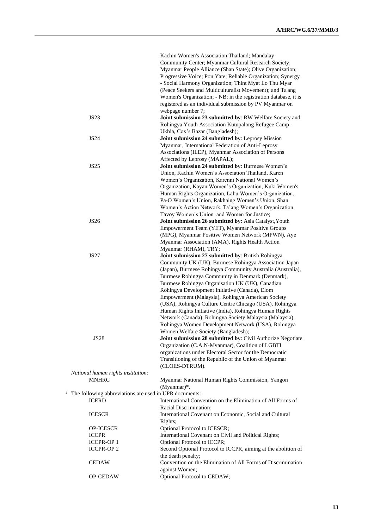|              |                                                        | Kachin Women's Association Thailand; Mandalay                   |
|--------------|--------------------------------------------------------|-----------------------------------------------------------------|
|              |                                                        | Community Center; Myanmar Cultural Research Society;            |
|              |                                                        | Myanmar People Alliance (Shan State); Olive Organization;       |
|              |                                                        | Progressive Voice; Pon Yate; Reliable Organization; Synergy     |
|              |                                                        | - Social Harmony Organization; Thint Myat Lo Thu Myar           |
|              |                                                        | (Peace Seekers and Multiculturalist Movement); and Ta'ang       |
|              |                                                        | Women's Organization; - NB: in the registration database, it is |
|              |                                                        | registered as an individual submission by PV Myanmar on         |
|              |                                                        | webpage number 7;                                               |
|              |                                                        |                                                                 |
|              | <b>JS23</b>                                            | Joint submission 23 submitted by: RW Welfare Society and        |
|              |                                                        | Rohingya Youth Association Kutupalong Refugee Camp -            |
|              |                                                        | Ukhia, Cox's Bazar (Bangladesh);                                |
|              | <b>JS24</b>                                            | Joint submission 24 submitted by: Leprosy Mission               |
|              |                                                        | Myanmar, International Federation of Anti-Leprosy               |
|              |                                                        | Associations (ILEP), Myanmar Association of Persons             |
|              |                                                        | Affected by Leprosy (MAPAL);                                    |
|              | <b>JS25</b>                                            | Joint submission 24 submitted by: Burmese Women's               |
|              |                                                        | Union, Kachin Women's Association Thailand, Karen               |
|              |                                                        | Women's Organization, Karenni National Women's                  |
|              |                                                        | Organization, Kayan Women's Organization, Kuki Women's          |
|              |                                                        |                                                                 |
|              |                                                        | Human Rights Organization, Lahu Women's Organization,           |
|              |                                                        | Pa-O Women's Union, Rakhaing Women's Union, Shan                |
|              |                                                        | Women's Action Network, Ta'ang Women's Organization,            |
|              |                                                        | Tavoy Women's Union and Women for Justice;                      |
|              | <b>JS26</b>                                            | Joint submission 26 submitted by: Asia Catalyst, Youth          |
|              |                                                        | Empowerment Team (YET), Myanmar Positive Groups                 |
|              |                                                        | (MPG), Myanmar Positive Women Network (MPWN), Aye               |
|              |                                                        | Myanmar Association (AMA), Rights Health Action                 |
|              |                                                        | Myanmar (RHAM), TRY;                                            |
|              | <b>JS27</b>                                            | Joint submission 27 submitted by: British Rohingya              |
|              |                                                        | Community UK (UK), Burmese Rohingya Association Japan           |
|              |                                                        |                                                                 |
|              |                                                        | (Japan), Burmese Rohingya Community Australia (Australia),      |
|              |                                                        | Burmese Rohingya Community in Denmark (Denmark),                |
|              |                                                        | Burmese Rohingya Organisation UK (UK), Canadian                 |
|              |                                                        | Rohingya Development Initiative (Canada), Elom                  |
|              |                                                        | Empowerment (Malaysia), Rohingya American Society               |
|              |                                                        | (USA), Rohingya Culture Centre Chicago (USA), Rohingya          |
|              |                                                        | Human Rights Initiative (India), Rohingya Human Rights          |
|              |                                                        | Network (Canada), Rohingya Society Malaysia (Malaysia),         |
|              |                                                        | Rohingya Women Development Network (USA), Rohingya              |
|              |                                                        | Women Welfare Society (Bangladesh);                             |
|              | <b>JS28</b>                                            | Joint submission 28 submitted by: Civil Authorize Negotiate     |
|              |                                                        | Organization (C.A.N-Myanmar), Coalition of LGBTI                |
|              |                                                        |                                                                 |
|              |                                                        | organizations under Electoral Sector for the Democratic         |
|              |                                                        | Transitioning of the Republic of the Union of Myanmar           |
|              |                                                        | (CLOES-DTRUM).                                                  |
|              | National human rights institution:                     |                                                                 |
|              | <b>MNHRC</b>                                           | Myanmar National Human Rights Commission, Yangon                |
|              |                                                        | (Myanmar)*.                                                     |
| $\mathbf{z}$ | The following abbreviations are used in UPR documents: |                                                                 |
|              | <b>ICERD</b>                                           | International Convention on the Elimination of All Forms of     |
|              |                                                        | Racial Discrimination;                                          |
|              | <b>ICESCR</b>                                          | International Covenant on Economic, Social and Cultural         |
|              |                                                        | Rights;                                                         |
|              |                                                        |                                                                 |
|              | OP-ICESCR                                              | Optional Protocol to ICESCR;                                    |
|              | <b>ICCPR</b>                                           | International Covenant on Civil and Political Rights;           |
|              | <b>ICCPR-OP 1</b>                                      | Optional Protocol to ICCPR;                                     |
|              | <b>ICCPR-OP 2</b>                                      | Second Optional Protocol to ICCPR, aiming at the abolition of   |
|              |                                                        | the death penalty;                                              |
|              | <b>CEDAW</b>                                           | Convention on the Elimination of All Forms of Discrimination    |
|              |                                                        | against Women;                                                  |
|              | OP-CEDAW                                               | Optional Protocol to CEDAW;                                     |
|              |                                                        |                                                                 |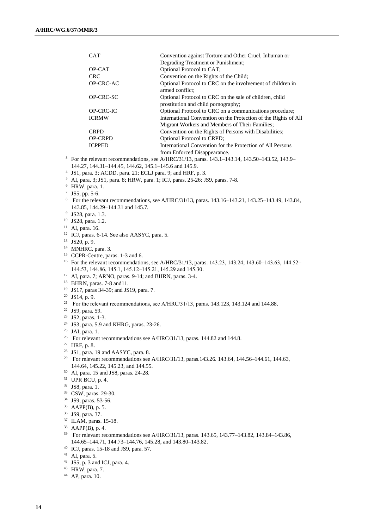| CAT            | Convention against Torture and Other Cruel, Inhuman or                                         |
|----------------|------------------------------------------------------------------------------------------------|
|                | Degrading Treatment or Punishment;                                                             |
| OP-CAT         | Optional Protocol to CAT;                                                                      |
| <b>CRC</b>     | Convention on the Rights of the Child;                                                         |
| OP-CRC-AC      | Optional Protocol to CRC on the involvement of children in<br>armed conflict;                  |
| OP-CRC-SC      | Optional Protocol to CRC on the sale of children, child<br>prostitution and child pornography; |
| OP-CRC-IC      | Optional Protocol to CRC on a communications procedure;                                        |
| <b>ICRMW</b>   | International Convention on the Protection of the Rights of All                                |
|                | Migrant Workers and Members of Their Families;                                                 |
| <b>CRPD</b>    | Convention on the Rights of Persons with Disabilities;                                         |
| <b>OP-CRPD</b> | <b>Optional Protocol to CRPD:</b>                                                              |
| <b>ICPPED</b>  | International Convention for the Protection of All Persons                                     |
|                | from Enforced Disappearance.                                                                   |
|                |                                                                                                |

<sup>3</sup> For the relevant recommendations, see A/HRC/31/13, paras. 143.1–143.14, 143.50–143.52, 143.9– 144.27, 144.31–144.45, 144.62, 145.1–145.6 and 145.9.

- 4 JS1, para. 3; ACDD, para. 21; ECLJ para. 9; and HRF, p. 3.
- <sup>5</sup> AI, para, 3; JS1, para. 8; HRW, para. 1; ICJ, paras. 25-26; JS9, paras. 7-8.
- <sup>6</sup> HRW, para. 1.
- $^7$  JS5, pp. 5-6.
- <sup>8</sup> For the relevant recommendations, see A/HRC/31/13, paras. 143.16–143.21, 143.25–143.49, 143.84, 143.85, 144.29–144.31 and 145.7.
- 9 JS28, para. 1.3.
- <sup>10</sup> JS28, para. 1.2.
- <sup>11</sup> AI, para. 16.
- <sup>12</sup> ICJ, paras. 6-14. See also AASYC, para. 5.
- <sup>13</sup> JS20, p. 9.
- <sup>14</sup> MNHRC, para. 3.
- <sup>15</sup> CCPR-Centre, paras. 1-3 and 6.
- <sup>16</sup> For the relevant recommendations, see A/HRC/31/13, paras. 143.23, 143.24, 143.60–143.63, 144.52– 144.53, 144.86, 145.1, 145.12–145.21, 145.29 and 145.30.
- <sup>17</sup> AI, para. 7; ARNO, paras. 9-14; and BHRN, paras. 3-4.
- <sup>18</sup> BHRN, paras. 7-8 and11.
- <sup>19</sup> JS17, paras 34-39; and JS19, para. 7.
- $20$  JS14, p. 9.
- <sup>21</sup> For the relevant recommendations, see A/HRC/31/13, paras. 143.123, 143.124 and 144.88.
- <sup>22</sup> JS9, para. 59.
- <sup>23</sup> JS2, paras. 1-3.
- <sup>24</sup> JS3, para. 5.9 and KHRG, paras. 23-26.
- <sup>25</sup> JAI, para. 1.
- <sup>26</sup> For relevant recommendations see A/HRC/31/13, paras. 144.82 and 144.8.
- <sup>27</sup> HRF, p. 8.
- <sup>28</sup> JS1, para. 19 and AASYC, para. 8.
- <sup>29</sup> For relevant recommendations see A/HRC/31/13, paras.143.26. 143.64, 144.56–144.61, 144.63, 144.64, 145.22, 145.23, and 144.55.
- <sup>30</sup> AI, para. 15 and JS8, paras. 24-28.
- <sup>31</sup> UPR BCU, p. 4.
- <sup>32</sup> JS8, para. 1.
- <sup>33</sup> CSW, paras. 29-30.
- <sup>34</sup> JS9, paras. 53-56.
- <sup>35</sup> AAPP(B), p. 5.
- <sup>36</sup> JS9, para. 37.
- <sup>37</sup> ILAM, paras. 15-18.
- <sup>38</sup> AAPP(B), p. 4.
- <sup>39</sup> For relevant recommendations see A/HRC/31/13, paras. 143.65, 143.77–143.82, 143.84–143.86, 144.65–144.71, 144.73–144.76, 145.28, and 143.80–143.82.
- <sup>40</sup> ICJ, paras. 15-18 and JS9, para. 57.
- <sup>41</sup> AI, para. 5.
- $42$  JS5, p. 3 and ICJ, para. 4.
- <sup>43</sup> HRW, para. 7.
- <sup>44</sup> AP, para. 10.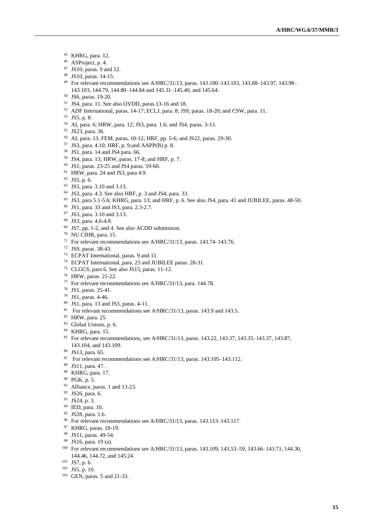- KHRG, para. 12.
- ASProject, p. 4.
- JS10, paras. 9 and 12.
- JS10, paras. 14-15.
- For relevant recommendations see A/HRC/31/13, paras. 143.100–143.103, 143.88–143.97, 143.98– 143.103, 144.79, 144.80–144.84 and 145.31–145.40, and 145.64.
- JS6, paras. 19-20.
- JS4, para. 11. See also OVDD, paras.13-16 and 18.
- ADF International, paras. 14-17; ECLJ, para. 8; JS9, paras. 18-20; and CSW, para. 11.
- JS5, p. 8.
- AI, para. 6; HRW, para. 12; JS3, para. 1.6; and JS4, paras. 3-13.
- JS23, para. 36.
- AI, para. 13; FEM, paras, 10-12; HRF, pp. 5-6; and JS22, paras. 29-30.
- JS3, para. 4.10; HRF, p. 9;and AAPP(B) p. 8.
- JS1, para. 14 and JS4 para. 66.
- JS4, para. 13; HRW, paras. 17-8; and HRF, p. 7.
- JS1, paras. 23-25 and JS4 paras. 59-60.
- HRW, para. 24 and JS3, para 4.9.
- JS5, p. 6.
- JS3, para. 3.10 and 3.13.
- JS3, para. 4.3. See also HRF, p. 3 and JS4, para. 33.
- JS3, para 5.1-5.6; KHRG, para. 13; and HRF, p. 6. See also JS4, para. 41 and JUBILEE, paras. 48-50.
- JS1, para. 33 and JS3, para. 2.3-2.7.
- JS3, para. 3.10 and 3.13.
- JS3, para. 4.6-4.8.
- JS7, pp. 1-2, and 4. See also ACDD submission.
- NU CIHR, para. 15.
- For relevant recommendations see A/HRC/31/13, paras. 143.74–143.76.
- JS9, paras. 38-43.
- ECPAT International, paras. 9 and 11.
- ECPAT International, para. 23 and JUBILEE paras. 28-31.
- CLGCS, para 6. See also JS15, paras. 11-12.
- HRW, paras. 21-22.
- For relevant recommendations see A/HRC/31/13, para. 144.78.
- JS1, paras. 35-41.
- JS1, paras. 4-46.
- JS1, para. 13 and JS3, paras. 4-11.
- <sup>81</sup> For relevant recommendations see A/HRC/31/13, paras. 143.9 and 143.5.
- HRW, para. 25.
- Global Unions, p. 6.
- KHRG, para. 15.
- For relevant recommendations, see A/HRC/31/13, paras. 143.22, 143.37, 143.35–143.37, 143.87, 143.104, and 143.109.
- JS13, para. 65.
- For relevant recommendations see A/HRC/31/13, paras. 143.105–143.112.
- JS11, para. 47.
- KHRG, para. 17.
- PGK, p. 5.
- Alliance, paras. 1 and 13-23.
- JS26, para. 6.
- JS24, p. 3.
- IED, para. 10.
- 95 JS28, para. 1.6.
- For relevant recommendations see A/HRC/31/13, paras. 143.113–143.117.
- KHRG, paras. 18-19.
- JS11, paras. 49-54.
- JS16, para. 19 (a).
- For relevant recommendations see A/HRC/31/13, paras. 143.109, 143.53–59, 143.66–143.71, 144.30, 144.46, 144.72, and 145.24.
- JS7, p. 6.
- JS5, p. 10.
- GEN, paras. 5 and 21-33.